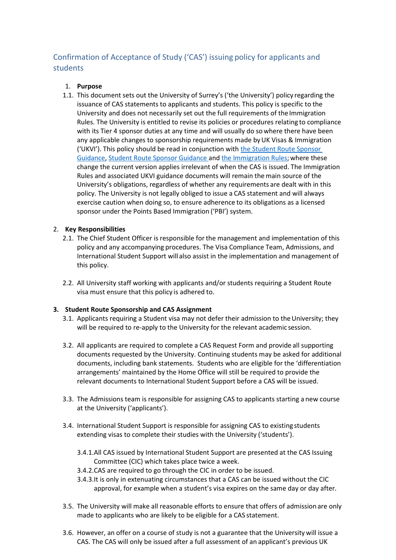# Confirmation of Acceptance of Study ('CAS') issuing policy for applicants and students

# 1. **Purpose**

1.1. This document sets out the University of Surrey's ('the University') policy regarding the issuance of CAS statements to applicants and students. This policy is specific to the University and does not necessarily set out the full requirements of the Immigration Rules. The University is entitled to revise its policies or procedures relating to compliance with its Tier 4 sponsor duties at any time and will usually do so where there have been any applicable changes to sponsorship requirements made byUK Visas & Immigration ('UKVI'). This policy should be read in conjunction with [the Student Route Sponsor](https://assets.publishing.service.gov.uk/government/uploads/system/uploads/attachment_data/file/923750/student-route-casework-guidance.pdf)  [Guidance,](https://assets.publishing.service.gov.uk/government/uploads/system/uploads/attachment_data/file/923750/student-route-casework-guidance.pdf) [Student Route Sponsor Guidance a](https://assets.publishing.service.gov.uk/government/uploads/system/uploads/attachment_data/file/923465/Student_Sponsor_Guidance_-_Doc_2_-_Sponsorship_Duties_2020-10_FINAL.pdf)nd [the Immigration Rules;](https://www.gov.uk/guidance/immigration-rules) where these change the current version applies irrelevant of when the CAS is issued. The Immigration Rules and associated UKVI guidance documents will remain themain source of the University's obligations, regardless of whether any requirements are dealt with in this policy. The University is not legally obliged to issue a CAS statement and will always exercise caution when doing so, to ensure adherence to its obligations as a licensed sponsor under the Points Based Immigration ('PBI') system.

## 2. **Key Responsibilities**

- 2.1. The Chief Student Officer is responsible for the management and implementation of this policy and any accompanying procedures. The Visa Compliance Team, Admissions, and International Student Support will also assist in the implementation and management of this policy.
- 2.2. All University staff working with applicants and/or students requiring a Student Route visa must ensure that this policy is adhered to.

## **3. Student Route Sponsorship and CAS Assignment**

- 3.1. Applicants requiring a Student visa may not defer their admission to the University; they will be required to re-apply to the University for the relevant academic session.
- 3.2. All applicants are required to complete a CAS Request Form and provide all supporting documents requested by the University. Continuing students may be asked for additional documents, including bank statements. Students who are eligible for the 'differentiation arrangements' maintained by the Home Office will still be required to provide the relevant documents to International Student Support before a CAS will be issued.
- 3.3. The Admissions team is responsible for assigning CAS to applicants starting a new course at the University ('applicants').
- 3.4. International Student Support is responsible for assigning CAS to existing students extending visas to complete their studies with the University ('students').
	- 3.4.1.All CAS issued by International Student Support are presented at the CAS Issuing Committee (CIC) which takes place twice a week.
	- 3.4.2.CAS are required to go through the CIC in order to be issued.
	- 3.4.3.It is only in extenuating circumstances that a CAS can be issued without the CIC approval, for example when a student's visa expires on the same day or day after.
- 3.5. The University will make all reasonable efforts to ensure that offers of admissionare only made to applicants who are likely to be eligible for a CAS statement.
- 3.6. However, an offer on a course of study is not a guarantee that the University will issue a CAS. The CAS will only be issued after a full assessment of an applicant's previous UK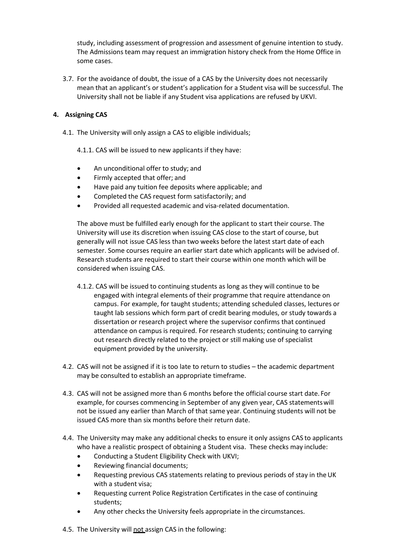study, including assessment of progression and assessment of genuine intention to study. The Admissions team may request an immigration history check from the Home Office in some cases.

3.7. For the avoidance of doubt, the issue of a CAS by the University does not necessarily mean that an applicant's or student's application for a Student visa will be successful. The University shall not be liable if any Student visa applications are refused by UKVI.

## **4. Assigning CAS**

- 4.1. The University will only assign a CAS to eligible individuals;
	- 4.1.1. CAS will be issued to new applicants if they have:
	- An unconditional offer to study; and
	- Firmly accepted that offer; and
	- Have paid any tuition fee deposits where applicable; and
	- Completed the CAS request form satisfactorily; and
	- Provided all requested academic and visa-related documentation.

The above must be fulfilled early enough for the applicant to start their course. The University will use its discretion when issuing CAS close to the start of course, but generally will not issue CAS less than two weeks before the latest start date of each semester. Some courses require an earlier start date which applicants will be advised of. Research students are required to start their course within one month which will be considered when issuing CAS.

- 4.1.2. CAS will be issued to continuing students as long as they will continue to be engaged with integral elements of their programme that require attendance on campus. For example, for taught students; attending scheduled classes, lectures or taught lab sessions which form part of credit bearing modules, or study towards a dissertation or research project where the supervisor confirms that continued attendance on campus is required. For research students; continuing to carrying out research directly related to the project or still making use of specialist equipment provided by the university.
- 4.2. CAS will not be assigned if it is too late to return to studies the academic department may be consulted to establish an appropriate timeframe.
- 4.3. CAS will not be assigned more than 6 months before the official course start date. For example, for courses commencing in September of any given year, CAS statementswill not be issued any earlier than March of that same year. Continuing students will not be issued CAS more than six months before their return date.
- 4.4. The University may make any additional checks to ensure it only assigns CAS to applicants who have a realistic prospect of obtaining a Student visa. These checks may include:
	- Conducting a Student Eligibility Check with UKVI;
	- Reviewing financial documents;
	- Requesting previous CAS statements relating to previous periods of stay in the UK with a student visa;
	- Requesting current Police Registration Certificates in the case of continuing students;
	- Any other checks the University feels appropriate in the circumstances.
- 4.5. The University will not assign CAS in the following: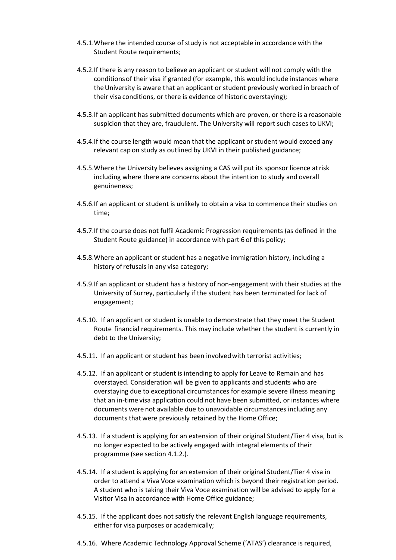- 4.5.1.Where the intended course of study is not acceptable in accordance with the Student Route requirements;
- 4.5.2.If there is any reason to believe an applicant or student will not comply with the conditionsof their visa if granted (for example, this would include instances where theUniversity is aware that an applicant or student previously worked in breach of their visa conditions, or there is evidence of historic overstaying);
- 4.5.3.If an applicant has submitted documents which are proven, or there is a reasonable suspicion that they are, fraudulent. The University will report such cases to UKVI;
- 4.5.4.If the course length would mean that the applicant or student would exceed any relevant cap on study as outlined by UKVI in their published guidance;
- 4.5.5.Where the University believes assigning a CAS will put its sponsor licence atrisk including where there are concerns about the intention to study and overall genuineness;
- 4.5.6.If an applicant or student is unlikely to obtain a visa to commence their studies on time;
- 4.5.7.If the course does not fulfil Academic Progression requirements (as defined in the Student Route guidance) in accordance with part 6 of this policy;
- 4.5.8.Where an applicant or student has a negative immigration history, including a history ofrefusals in any visa category;
- 4.5.9.If an applicant or student has a history of non-engagement with their studies at the University of Surrey, particularly if the student has been terminated for lack of engagement;
- 4.5.10. If an applicant or student is unable to demonstrate that they meet the Student Route financial requirements. This may include whether the student is currently in debt to the University;
- 4.5.11. If an applicant or student has been involvedwith terrorist activities;
- 4.5.12. If an applicant or student is intending to apply for Leave to Remain and has overstayed. Consideration will be given to applicants and students who are overstaying due to exceptional circumstances for example severe illness meaning that an in-time visa application could not have been submitted, or instances where documents were not available due to unavoidable circumstances including any documents that were previously retained by the Home Office;
- 4.5.13. If a student is applying for an extension of their original Student/Tier 4 visa, but is no longer expected to be actively engaged with integral elements of their programme (see section 4.1.2.).
- 4.5.14. If a student is applying for an extension of their original Student/Tier 4 visa in order to attend a Viva Voce examination which is beyond their registration period. A student who is taking their Viva Voce examination will be advised to apply for a Visitor Visa in accordance with Home Office guidance;
- 4.5.15. If the applicant does not satisfy the relevant English language requirements, either for visa purposes or academically;
- 4.5.16. Where Academic Technology Approval Scheme ('ATAS') clearance is required,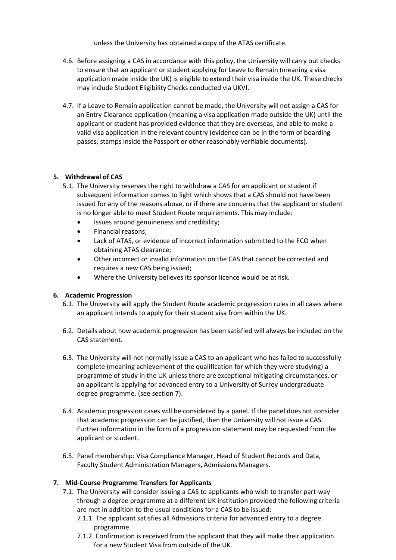unless the University has obtained a copy of the ATAS certificate.

- 4.6. Before assigning a CAS in accordance with this policy, the University will carry out checks to ensure that an applicant or student applying for Leave to Remain (meaning a visa application made inside the UK) is eligible to extend their visa inside the UK. These checks may include Student EligibilityChecks conducted via UKVI.
- 4.7. If a Leave to Remain application cannot be made, the University will not assign a CAS for an Entry Clearance application (meaning a visa application made outside the UK) until the applicant or student has provided evidence that they are overseas, and able to make a valid visa application in the relevant country (evidence can be in the form of boarding passes, stamps inside the Passport or other reasonably verifiable documents).

#### **5. Withdrawal of CAS**

- 5.1. The University reserves the right to withdraw a CAS for an applicant or student if subsequent information comes to light which shows that a CAS should not have been issued for any of the reasons above, or if there are concerns that the applicant or student is no longer able to meet Student Route requirements. This may include:
	- Issues around genuineness and credibility;
	- Financial reasons;
	- Lack of ATAS, or evidence of incorrect information submitted to the FCO when obtaining ATAS clearance;
	- Other incorrect or invalid information on the CAS that cannot be corrected and requires a new CAS being issued;
	- Where the University believes its sponsor licence would be at risk.

#### **6. Academic Progression**

- 6.1. The University will apply the Student Route academic progression rules in all cases where an applicant intends to apply for their student visa from within the UK.
- 6.2. Details about how academic progression has been satisfied will always be included on the CAS statement.
- 6.3. The University will not normally issue a CAS to an applicant who has failed to successfully complete (meaning achievement of the qualification for which they were studying) a programme of study in the UK unless there are exceptional mitigating circumstances, or an applicant is applying for advanced entry to a University of Surrey undergraduate degree programme. (see section 7).
- 6.4. Academic progression cases will be considered by a panel. If the panel does not consider that academic progression can be justified, then the University will not issue a CAS. Further information in the form of a progression statement may be requested from the applicant or student.
- 6.5. Panel membership: Visa Compliance Manager, Head of Student Records and Data, Faculty Student Administration Managers, Admissions Managers.

## **7. Mid-Course Programme Transfers for Applicants**

- 7.1. The University will consider issuing a CAS to applicants who wish to transfer part-way through a degree programme at a different UK institution provided the following criteria are met in addition to the usual conditions for a CAS to be issued:
	- 7.1.1. The applicant satisfies all Admissions criteria for advanced entry to a degree programme.
	- 7.1.2. Confirmation is received from the applicant that they will make their application for a new Student Visa from outside of the UK.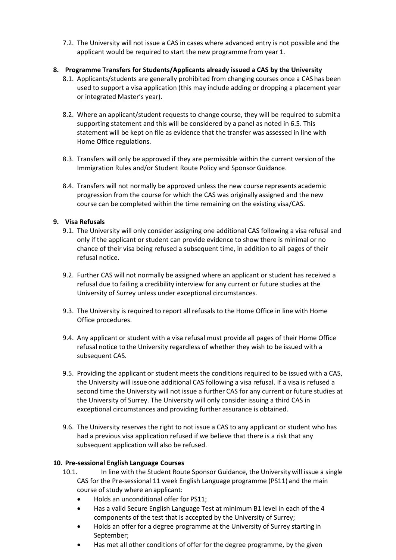7.2. The University will not issue a CAS in cases where advanced entry is not possible and the applicant would be required to start the new programme from year 1.

#### **8. Programme Transfers for Students/Applicants already issued a CAS by the University**

- 8.1. Applicants/students are generally prohibited from changing courses once a CAS has been used to support a visa application (this may include adding or dropping a placement year or integrated Master's year).
- 8.2. Where an applicant/student requests to change course, they will be required to submit a supporting statement and this will be considered by a panel as noted in 6.5. This statement will be kept on file as evidence that the transfer was assessed in line with Home Office regulations.
- 8.3. Transfers will only be approved if they are permissible within the current versionof the Immigration Rules and/or Student Route Policy and Sponsor Guidance.
- 8.4. Transfers will not normally be approved unless the new course represents academic progression from the course for which the CAS was originally assigned and the new course can be completed within the time remaining on the existing visa/CAS.

## **9. Visa Refusals**

- 9.1. The University will only consider assigning one additional CAS following a visa refusal and only if the applicant or student can provide evidence to show there is minimal or no chance of their visa being refused a subsequent time, in addition to all pages of their refusal notice.
- 9.2. Further CAS will not normally be assigned where an applicant or student has received a refusal due to failing a credibility interview for any current or future studies at the University of Surrey unless under exceptional circumstances.
- 9.3. The University is required to report all refusals to the Home Office in line with Home Office procedures.
- 9.4. Any applicant or student with a visa refusal must provide all pages of their Home Office refusal notice to the University regardless of whether they wish to be issued with a subsequent CAS.
- 9.5. Providing the applicant or student meets the conditions required to be issued with a CAS, the University will issue one additional CAS following a visa refusal. If a visa is refused a second time the University will not issue a further CAS for any current or future studies at the University of Surrey. The University will only consider issuing a third CAS in exceptional circumstances and providing further assurance is obtained.
- 9.6. The University reserves the right to not issue a CAS to any applicant or student who has had a previous visa application refused if we believe that there is a risk that any subsequent application will also be refused.

## **10. Pre-sessional English Language Courses**

- 10.1. In line with the Student Route Sponsor Guidance, the Universitywill issue a single CAS for the Pre-sessional 11 week English Language programme (PS11) and the main course of study where an applicant:
	- Holds an unconditional offer for PS11;
	- Has a valid Secure English Language Test at minimum B1 level in each of the 4 components of the test that is accepted by the University of Surrey;
	- Holds an offer for a degree programme at the University of Surrey starting in September;
	- Has met all other conditions of offer for the degree programme, by the given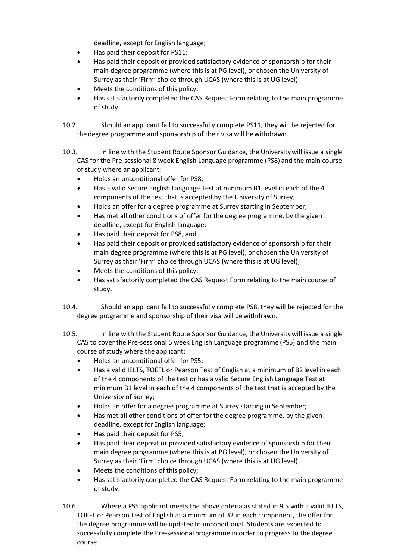deadline, except for English language;

- Has paid their deposit for PS11;
- Has paid their deposit or provided satisfactory evidence of sponsorship for their main degree programme (where this is at PG level), or chosen the University of Surrey as their 'Firm' choice through UCAS (where this is at UG level)
- Meets the conditions of this policy;
- Has satisfactorily completed the CAS Request Form relating to the main programme of study.

10.2. Should an applicant fail to successfully complete PS11, they will be rejected for the degree programme and sponsorship of their visa will be withdrawn.

- 10.3. In line with the Student Route Sponsor Guidance, the Universitywill issue a single CAS for the Pre-sessional 8 week English Language programme (PS8) and the main course of study where an applicant:
	- Holds an unconditional offer for PS8;
	- Has a valid Secure English Language Test at minimum B1 level in each of the 4 components of the test that is accepted by the University of Surrey;
	- Holds an offer for a degree programme at Surrey starting in September;
	- Has met all other conditions of offer for the degree programme, by the given deadline, except for English language;
	- Has paid their deposit for PS8, and
	- Has paid their deposit or provided satisfactory evidence of sponsorship for their main degree programme (where this is at PG level), or chosen the University of Surrey as their 'Firm' choice through UCAS (where this is at UG level);
	- Meets the conditions of this policy;
	- Has satisfactorily completed the CAS Request Form relating to the main course of study.
- 10.4. Should an applicant fail to successfully complete PS8, they will be rejected for the degree programme and sponsorship of their visa will be withdrawn.
- 10.5. In line with the Student Route Sponsor Guidance, the Universitywill issue a single CAS to cover the Pre-sessional 5 week English Language programme (PS5) and the main course of study where the applicant;
	- Holds an unconditional offer for PS5;
	- Has a valid IELTS, TOEFL or Pearson Test of English at a minimum of B2 level in each of the 4 components of the test or has a valid Secure English Language Test at minimum B1 level in each of the 4 components of the test that is accepted by the University of Surrey;
	- Holds an offer for a degree programme at Surrey starting in September;
	- Has met all other conditions of offer for the degree programme, by the given deadline, except for English language;
	- Has paid their deposit for PS5;
	- Has paid their deposit or provided satisfactory evidence of sponsorship for their main degree programme (where this is at PG level), or chosen the University of Surrey as their 'Firm' choice through UCAS (where this is at UG level)
	- Meets the conditions of this policy;
	- Has satisfactorily completed the CAS Request Form relating to the main programme of study.
- 10.6. Where a PS5 applicant meets the above criteria as stated in 9.5 with a valid IELTS, TOEFL or Pearson Test of English at a minimum of B2 in each component, the offer for the degree programme will be updatedto unconditional. Students are expected to successfully complete the Pre-sessional programme in order to progress to the degree course.